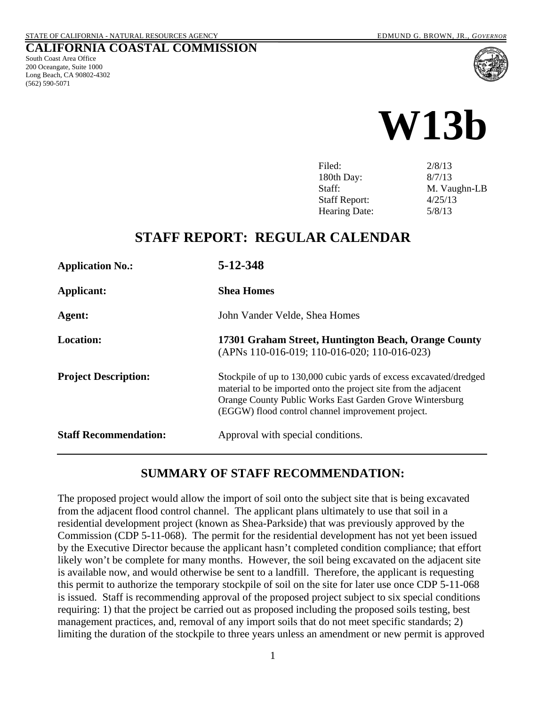South Coast Area Office 200 Oceangate, Suite 1000 Long Beach, CA 90802-4302

(562) 590-5071

**CALIFORNIA COASTAL COMMISSION**



| Filed:               | 2/8/13       |
|----------------------|--------------|
| 180th Day:           | 8/7/13       |
| Staff:               | M. Vaughn-LB |
| <b>Staff Report:</b> | 4/25/13      |
| Hearing Date:        | 5/8/13       |
|                      |              |

### **STAFF REPORT: REGULAR CALENDAR**

| <b>Application No.:</b>      | 5-12-348                                                                                                                                                                                                                                               |
|------------------------------|--------------------------------------------------------------------------------------------------------------------------------------------------------------------------------------------------------------------------------------------------------|
| <b>Applicant:</b>            | <b>Shea Homes</b>                                                                                                                                                                                                                                      |
| Agent:                       | John Vander Velde, Shea Homes                                                                                                                                                                                                                          |
| <b>Location:</b>             | 17301 Graham Street, Huntington Beach, Orange County<br>(APNs 110-016-019; 110-016-020; 110-016-023)                                                                                                                                                   |
| <b>Project Description:</b>  | Stockpile of up to 130,000 cubic yards of excess excavated/dredged<br>material to be imported onto the project site from the adjacent<br>Orange County Public Works East Garden Grove Wintersburg<br>(EGGW) flood control channel improvement project. |
| <b>Staff Recommendation:</b> | Approval with special conditions.                                                                                                                                                                                                                      |

### **SUMMARY OF STAFF RECOMMENDATION:**

The proposed project would allow the import of soil onto the subject site that is being excavated from the adjacent flood control channel. The applicant plans ultimately to use that soil in a residential development project (known as Shea-Parkside) that was previously approved by the Commission (CDP 5-11-068). The permit for the residential development has not yet been issued by the Executive Director because the applicant hasn't completed condition compliance; that effort likely won't be complete for many months. However, the soil being excavated on the adjacent site is available now, and would otherwise be sent to a landfill. Therefore, the applicant is requesting this permit to authorize the temporary stockpile of soil on the site for later use once CDP 5-11-068 is issued. Staff is recommending approval of the proposed project subject to six special conditions requiring: 1) that the project be carried out as proposed including the proposed soils testing, best management practices, and, removal of any import soils that do not meet specific standards; 2) limiting the duration of the stockpile to three years unless an amendment or new permit is approved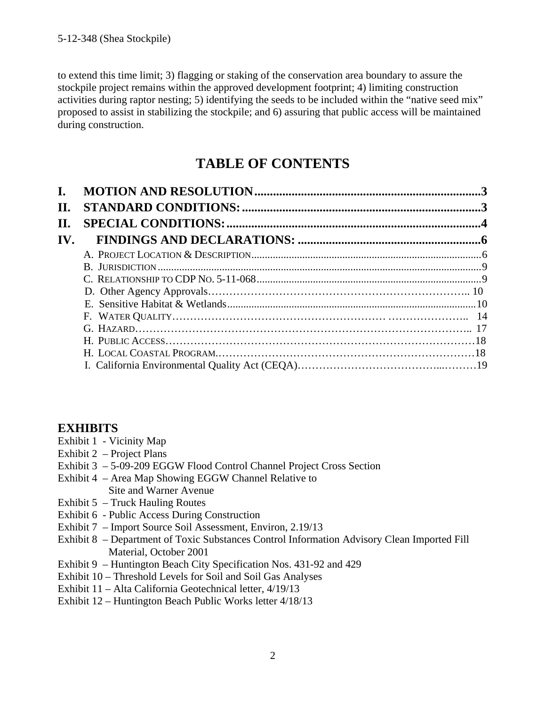to extend this time limit; 3) flagging or staking of the conservation area boundary to assure the stockpile project remains within the approved development footprint; 4) limiting construction activities during raptor nesting; 5) identifying the seeds to be included within the "native seed mix" proposed to assist in stabilizing the stockpile; and 6) assuring that public access will be maintained during construction.

### **TABLE OF CONTENTS**

| $\mathbf{I}$ . |  |
|----------------|--|
| II.            |  |
| П.             |  |
| IV.            |  |
|                |  |
|                |  |
|                |  |
|                |  |
|                |  |
|                |  |
|                |  |
|                |  |
|                |  |
|                |  |

### **EXHIBITS**

- Exhibit 1 Vicinity Map
- Exhibit 2 Project Plans
- Exhibit 3 5-09-209 EGGW Flood Control Channel Project Cross Section
- Exhibit 4 Area Map Showing EGGW Channel Relative to Site and Warner Avenue
- Exhibit 5 Truck Hauling Routes
- Exhibit 6 Public Access During Construction
- <span id="page-1-0"></span>Exhibit 7 – Import Source Soil Assessment, Environ, 2.19/13
- Exhibit 8 Department of Toxic Substances Control Information Advisory Clean Imported Fill Material, October 2001
- Exhibit 9 Huntington Beach City Specification Nos. 431-92 and 429
- Exhibit 10 Threshold Levels for Soil and Soil Gas Analyses
- Exhibit 11 Alta California Geotechnical letter, 4/19/13
- Exhibit 12 Huntington Beach Public Works letter 4/18/13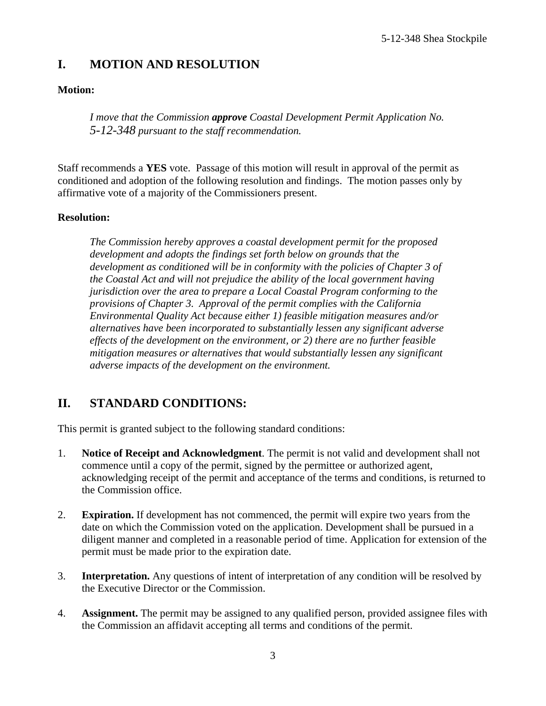### **I. MOTION AND RESOLUTION**

### **Motion:**

*I move that the Commission approve Coastal Development Permit Application No. 5-12-348 pursuant to the staff recommendation.*

Staff recommends a **YES** vote. Passage of this motion will result in approval of the permit as conditioned and adoption of the following resolution and findings. The motion passes only by affirmative vote of a majority of the Commissioners present.

### **Resolution:**

*The Commission hereby approves a coastal development permit for the proposed development and adopts the findings set forth below on grounds that the development as conditioned will be in conformity with the policies of Chapter 3 of the Coastal Act and will not prejudice the ability of the local government having jurisdiction over the area to prepare a Local Coastal Program conforming to the provisions of Chapter 3. Approval of the permit complies with the California Environmental Quality Act because either 1) feasible mitigation measures and/or alternatives have been incorporated to substantially lessen any significant adverse effects of the development on the environment, or 2) there are no further feasible mitigation measures or alternatives that would substantially lessen any significant adverse impacts of the development on the environment.*

### <span id="page-2-0"></span>**II. STANDARD CONDITIONS:**

This permit is granted subject to the following standard conditions:

- 1. **Notice of Receipt and Acknowledgment**. The permit is not valid and development shall not commence until a copy of the permit, signed by the permittee or authorized agent, acknowledging receipt of the permit and acceptance of the terms and conditions, is returned to the Commission office.
- 2. **Expiration.** If development has not commenced, the permit will expire two years from the date on which the Commission voted on the application. Development shall be pursued in a diligent manner and completed in a reasonable period of time. Application for extension of the permit must be made prior to the expiration date.
- 3. **Interpretation.** Any questions of intent of interpretation of any condition will be resolved by the Executive Director or the Commission.
- 4. **Assignment.** The permit may be assigned to any qualified person, provided assignee files with the Commission an affidavit accepting all terms and conditions of the permit.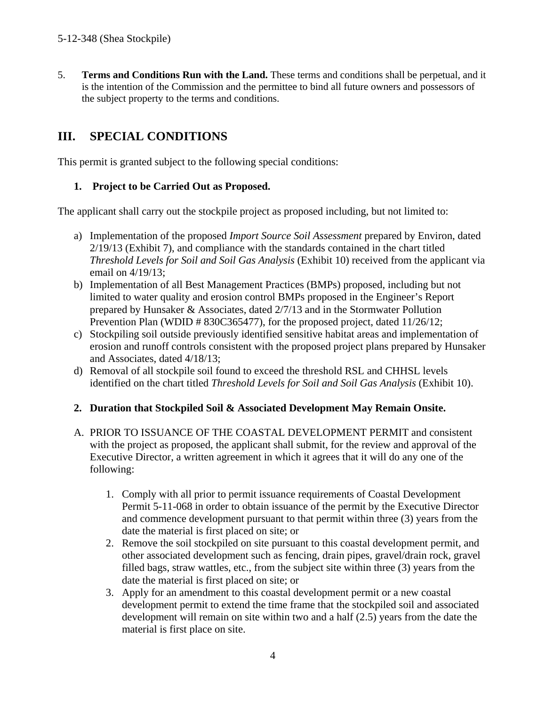5. **Terms and Conditions Run with the Land.** These terms and conditions shall be perpetual, and it is the intention of the Commission and the permittee to bind all future owners and possessors of the subject property to the terms and conditions.

### <span id="page-3-0"></span>**III. SPECIAL CONDITIONS**

This permit is granted subject to the following special conditions:

### **1. Project to be Carried Out as Proposed.**

The applicant shall carry out the stockpile project as proposed including, but not limited to:

- a) Implementation of the proposed *Import Source Soil Assessment* prepared by Environ, dated 2/19/13 (Exhibit 7), and compliance with the standards contained in the chart titled *Threshold Levels for Soil and Soil Gas Analysis* (Exhibit 10) received from the applicant via email on 4/19/13;
- b) Implementation of all Best Management Practices (BMPs) proposed, including but not limited to water quality and erosion control BMPs proposed in the Engineer's Report prepared by Hunsaker & Associates, dated 2/7/13 and in the Stormwater Pollution Prevention Plan (WDID # 830C365477), for the proposed project, dated 11/26/12;
- c) Stockpiling soil outside previously identified sensitive habitat areas and implementation of erosion and runoff controls consistent with the proposed project plans prepared by Hunsaker and Associates, dated 4/18/13;
- d) Removal of all stockpile soil found to exceed the threshold RSL and CHHSL levels identified on the chart titled *Threshold Levels for Soil and Soil Gas Analysis* (Exhibit 10).

### **2. Duration that Stockpiled Soil & Associated Development May Remain Onsite.**

- A. PRIOR TO ISSUANCE OF THE COASTAL DEVELOPMENT PERMIT and consistent with the project as proposed, the applicant shall submit, for the review and approval of the Executive Director, a written agreement in which it agrees that it will do any one of the following:
	- 1. Comply with all prior to permit issuance requirements of Coastal Development Permit 5-11-068 in order to obtain issuance of the permit by the Executive Director and commence development pursuant to that permit within three (3) years from the date the material is first placed on site; or
	- 2. Remove the soil stockpiled on site pursuant to this coastal development permit, and other associated development such as fencing, drain pipes, gravel/drain rock, gravel filled bags, straw wattles, etc., from the subject site within three (3) years from the date the material is first placed on site; or
	- 3. Apply for an amendment to this coastal development permit or a new coastal development permit to extend the time frame that the stockpiled soil and associated development will remain on site within two and a half (2.5) years from the date the material is first place on site.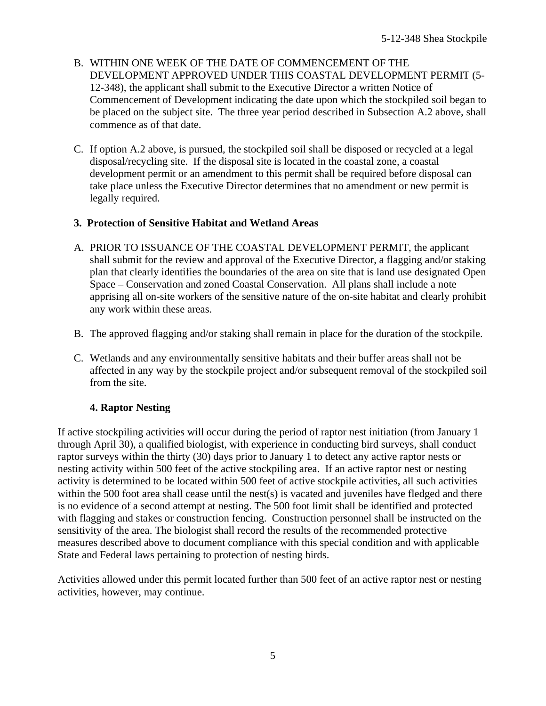- B. WITHIN ONE WEEK OF THE DATE OF COMMENCEMENT OF THE DEVELOPMENT APPROVED UNDER THIS COASTAL DEVELOPMENT PERMIT (5- 12-348), the applicant shall submit to the Executive Director a written Notice of Commencement of Development indicating the date upon which the stockpiled soil began to be placed on the subject site. The three year period described in Subsection A.2 above, shall commence as of that date.
- C. If option A.2 above, is pursued, the stockpiled soil shall be disposed or recycled at a legal disposal/recycling site. If the disposal site is located in the coastal zone, a coastal development permit or an amendment to this permit shall be required before disposal can take place unless the Executive Director determines that no amendment or new permit is legally required.

### **3. Protection of Sensitive Habitat and Wetland Areas**

- A. PRIOR TO ISSUANCE OF THE COASTAL DEVELOPMENT PERMIT, the applicant shall submit for the review and approval of the Executive Director, a flagging and/or staking plan that clearly identifies the boundaries of the area on site that is land use designated Open Space – Conservation and zoned Coastal Conservation. All plans shall include a note apprising all on-site workers of the sensitive nature of the on-site habitat and clearly prohibit any work within these areas.
- B. The approved flagging and/or staking shall remain in place for the duration of the stockpile.
- C. Wetlands and any environmentally sensitive habitats and their buffer areas shall not be affected in any way by the stockpile project and/or subsequent removal of the stockpiled soil from the site.

### **4. Raptor Nesting**

If active stockpiling activities will occur during the period of raptor nest initiation (from January 1 through April 30), a qualified biologist, with experience in conducting bird surveys, shall conduct raptor surveys within the thirty (30) days prior to January 1 to detect any active raptor nests or nesting activity within 500 feet of the active stockpiling area. If an active raptor nest or nesting activity is determined to be located within 500 feet of active stockpile activities, all such activities within the 500 foot area shall cease until the nest(s) is vacated and juveniles have fledged and there is no evidence of a second attempt at nesting. The 500 foot limit shall be identified and protected with flagging and stakes or construction fencing. Construction personnel shall be instructed on the sensitivity of the area. The biologist shall record the results of the recommended protective measures described above to document compliance with this special condition and with applicable State and Federal laws pertaining to protection of nesting birds.

Activities allowed under this permit located further than 500 feet of an active raptor nest or nesting activities, however, may continue.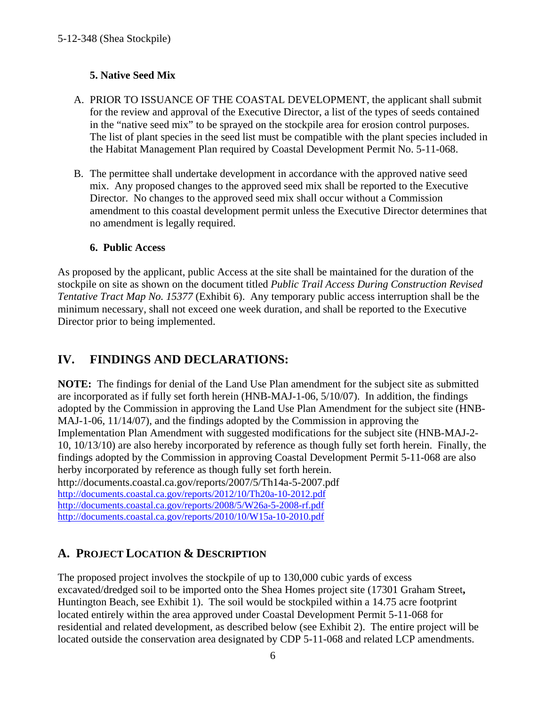### **5. Native Seed Mix**

- A. PRIOR TO ISSUANCE OF THE COASTAL DEVELOPMENT, the applicant shall submit for the review and approval of the Executive Director, a list of the types of seeds contained in the "native seed mix" to be sprayed on the stockpile area for erosion control purposes. The list of plant species in the seed list must be compatible with the plant species included in the Habitat Management Plan required by Coastal Development Permit No. 5-11-068.
- B. The permittee shall undertake development in accordance with the approved native seed mix. Any proposed changes to the approved seed mix shall be reported to the Executive Director. No changes to the approved seed mix shall occur without a Commission amendment to this coastal development permit unless the Executive Director determines that no amendment is legally required.

### **6. Public Access**

As proposed by the applicant, public Access at the site shall be maintained for the duration of the stockpile on site as shown on the document titled *Public Trail Access During Construction Revised Tentative Tract Map No. 15377* (Exhibit 6). Any temporary public access interruption shall be the minimum necessary, shall not exceed one week duration, and shall be reported to the Executive Director prior to being implemented.

### <span id="page-5-0"></span>**IV. FINDINGS AND DECLARATIONS:**

**NOTE:** The findings for denial of the Land Use Plan amendment for the subject site as submitted are incorporated as if fully set forth herein (HNB-MAJ-1-06, 5/10/07). In addition, the findings adopted by the Commission in approving the Land Use Plan Amendment for the subject site (HNB-MAJ-1-06, 11/14/07), and the findings adopted by the Commission in approving the Implementation Plan Amendment with suggested modifications for the subject site (HNB-MAJ-2- 10, 10/13/10) are also hereby incorporated by reference as though fully set forth herein. Finally, the findings adopted by the Commission in approving Coastal Development Permit 5-11-068 are also herby incorporated by reference as though fully set forth herein. http://documents.coastal.ca.gov/reports/2007/5/Th14a-5-2007.pdf <http://documents.coastal.ca.gov/reports/2012/10/Th20a-10-2012.pdf> <http://documents.coastal.ca.gov/reports/2008/5/W26a-5-2008-rf.pdf> <http://documents.coastal.ca.gov/reports/2010/10/W15a-10-2010.pdf>

### <span id="page-5-1"></span>**A. PROJECT LOCATION & DESCRIPTION**

The proposed project involves the stockpile of up to 130,000 cubic yards of excess excavated/dredged soil to be imported onto the Shea Homes project site (17301 Graham Street**,** Huntington Beach, see Exhibit 1). The soil would be stockpiled within a 14.75 acre footprint located entirely within the area approved under Coastal Development Permit 5-11-068 for residential and related development, as described below (see Exhibit 2). The entire project will be located outside the conservation area designated by CDP 5-11-068 and related LCP amendments.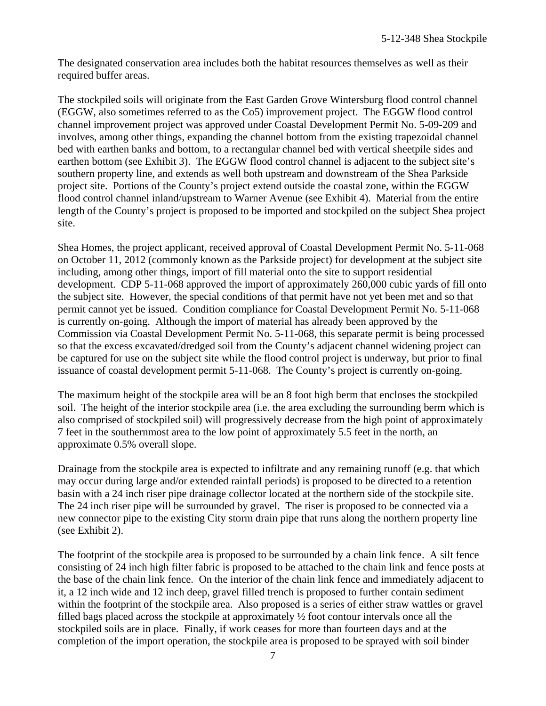The designated conservation area includes both the habitat resources themselves as well as their required buffer areas.

The stockpiled soils will originate from the East Garden Grove Wintersburg flood control channel (EGGW, also sometimes referred to as the Co5) improvement project. The EGGW flood control channel improvement project was approved under Coastal Development Permit No. 5-09-209 and involves, among other things, expanding the channel bottom from the existing trapezoidal channel bed with earthen banks and bottom, to a rectangular channel bed with vertical sheetpile sides and earthen bottom (see Exhibit 3). The EGGW flood control channel is adjacent to the subject site's southern property line, and extends as well both upstream and downstream of the Shea Parkside project site. Portions of the County's project extend outside the coastal zone, within the EGGW flood control channel inland/upstream to Warner Avenue (see Exhibit 4). Material from the entire length of the County's project is proposed to be imported and stockpiled on the subject Shea project site.

Shea Homes, the project applicant, received approval of Coastal Development Permit No. 5-11-068 on October 11, 2012 (commonly known as the Parkside project) for development at the subject site including, among other things, import of fill material onto the site to support residential development. CDP 5-11-068 approved the import of approximately 260,000 cubic yards of fill onto the subject site. However, the special conditions of that permit have not yet been met and so that permit cannot yet be issued. Condition compliance for Coastal Development Permit No. 5-11-068 is currently on-going. Although the import of material has already been approved by the Commission via Coastal Development Permit No. 5-11-068, this separate permit is being processed so that the excess excavated/dredged soil from the County's adjacent channel widening project can be captured for use on the subject site while the flood control project is underway, but prior to final issuance of coastal development permit 5-11-068. The County's project is currently on-going.

The maximum height of the stockpile area will be an 8 foot high berm that encloses the stockpiled soil. The height of the interior stockpile area (i.e. the area excluding the surrounding berm which is also comprised of stockpiled soil) will progressively decrease from the high point of approximately 7 feet in the southernmost area to the low point of approximately 5.5 feet in the north, an approximate 0.5% overall slope.

Drainage from the stockpile area is expected to infiltrate and any remaining runoff (e.g. that which may occur during large and/or extended rainfall periods) is proposed to be directed to a retention basin with a 24 inch riser pipe drainage collector located at the northern side of the stockpile site. The 24 inch riser pipe will be surrounded by gravel. The riser is proposed to be connected via a new connector pipe to the existing City storm drain pipe that runs along the northern property line (see Exhibit 2).

The footprint of the stockpile area is proposed to be surrounded by a chain link fence. A silt fence consisting of 24 inch high filter fabric is proposed to be attached to the chain link and fence posts at the base of the chain link fence. On the interior of the chain link fence and immediately adjacent to it, a 12 inch wide and 12 inch deep, gravel filled trench is proposed to further contain sediment within the footprint of the stockpile area. Also proposed is a series of either straw wattles or gravel filled bags placed across the stockpile at approximately ½ foot contour intervals once all the stockpiled soils are in place. Finally, if work ceases for more than fourteen days and at the completion of the import operation, the stockpile area is proposed to be sprayed with soil binder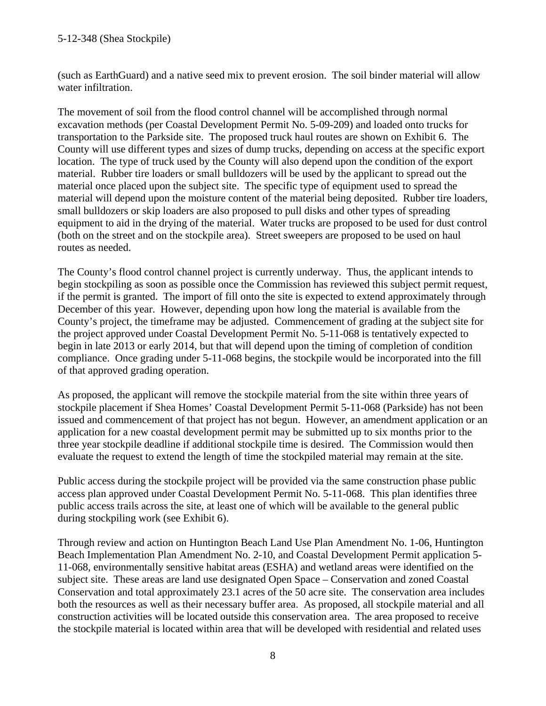(such as EarthGuard) and a native seed mix to prevent erosion. The soil binder material will allow water infiltration.

The movement of soil from the flood control channel will be accomplished through normal excavation methods (per Coastal Development Permit No. 5-09-209) and loaded onto trucks for transportation to the Parkside site. The proposed truck haul routes are shown on Exhibit 6. The County will use different types and sizes of dump trucks, depending on access at the specific export location. The type of truck used by the County will also depend upon the condition of the export material. Rubber tire loaders or small bulldozers will be used by the applicant to spread out the material once placed upon the subject site. The specific type of equipment used to spread the material will depend upon the moisture content of the material being deposited. Rubber tire loaders, small bulldozers or skip loaders are also proposed to pull disks and other types of spreading equipment to aid in the drying of the material. Water trucks are proposed to be used for dust control (both on the street and on the stockpile area). Street sweepers are proposed to be used on haul routes as needed.

The County's flood control channel project is currently underway. Thus, the applicant intends to begin stockpiling as soon as possible once the Commission has reviewed this subject permit request, if the permit is granted. The import of fill onto the site is expected to extend approximately through December of this year. However, depending upon how long the material is available from the County's project, the timeframe may be adjusted. Commencement of grading at the subject site for the project approved under Coastal Development Permit No. 5-11-068 is tentatively expected to begin in late 2013 or early 2014, but that will depend upon the timing of completion of condition compliance. Once grading under 5-11-068 begins, the stockpile would be incorporated into the fill of that approved grading operation.

As proposed, the applicant will remove the stockpile material from the site within three years of stockpile placement if Shea Homes' Coastal Development Permit 5-11-068 (Parkside) has not been issued and commencement of that project has not begun. However, an amendment application or an application for a new coastal development permit may be submitted up to six months prior to the three year stockpile deadline if additional stockpile time is desired. The Commission would then evaluate the request to extend the length of time the stockpiled material may remain at the site.

Public access during the stockpile project will be provided via the same construction phase public access plan approved under Coastal Development Permit No. 5-11-068. This plan identifies three public access trails across the site, at least one of which will be available to the general public during stockpiling work (see Exhibit 6).

Through review and action on Huntington Beach Land Use Plan Amendment No. 1-06, Huntington Beach Implementation Plan Amendment No. 2-10, and Coastal Development Permit application 5- 11-068, environmentally sensitive habitat areas (ESHA) and wetland areas were identified on the subject site. These areas are land use designated Open Space – Conservation and zoned Coastal Conservation and total approximately 23.1 acres of the 50 acre site. The conservation area includes both the resources as well as their necessary buffer area. As proposed, all stockpile material and all construction activities will be located outside this conservation area. The area proposed to receive the stockpile material is located within area that will be developed with residential and related uses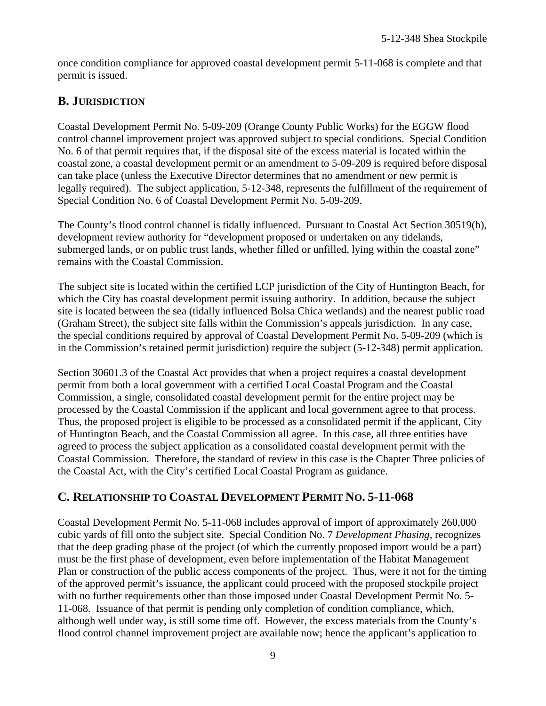once condition compliance for approved coastal development permit 5-11-068 is complete and that permit is issued.

### **B. JURISDICTION**

Coastal Development Permit No. 5-09-209 (Orange County Public Works) for the EGGW flood control channel improvement project was approved subject to special conditions. Special Condition No. 6 of that permit requires that, if the disposal site of the excess material is located within the coastal zone, a coastal development permit or an amendment to 5-09-209 is required before disposal can take place (unless the Executive Director determines that no amendment or new permit is legally required). The subject application, 5-12-348, represents the fulfillment of the requirement of Special Condition No. 6 of Coastal Development Permit No. 5-09-209.

The County's flood control channel is tidally influenced. Pursuant to Coastal Act Section 30519(b), development review authority for "development proposed or undertaken on any tidelands, submerged lands, or on public trust lands, whether filled or unfilled, lying within the coastal zone" remains with the Coastal Commission.

The subject site is located within the certified LCP jurisdiction of the City of Huntington Beach, for which the City has coastal development permit issuing authority. In addition, because the subject site is located between the sea (tidally influenced Bolsa Chica wetlands) and the nearest public road (Graham Street), the subject site falls within the Commission's appeals jurisdiction. In any case, the special conditions required by approval of Coastal Development Permit No. 5-09-209 (which is in the Commission's retained permit jurisdiction) require the subject (5-12-348) permit application.

Section 30601.3 of the Coastal Act provides that when a project requires a coastal development permit from both a local government with a certified Local Coastal Program and the Coastal Commission, a single, consolidated coastal development permit for the entire project may be processed by the Coastal Commission if the applicant and local government agree to that process. Thus, the proposed project is eligible to be processed as a consolidated permit if the applicant, City of Huntington Beach, and the Coastal Commission all agree. In this case, all three entities have agreed to process the subject application as a consolidated coastal development permit with the Coastal Commission. Therefore, the standard of review in this case is the Chapter Three policies of the Coastal Act, with the City's certified Local Coastal Program as guidance.

### <span id="page-8-0"></span>**C. RELATIONSHIP TO COASTAL DEVELOPMENT PERMIT NO. 5-11-068**

Coastal Development Permit No. 5-11-068 includes approval of import of approximately 260,000 cubic yards of fill onto the subject site. Special Condition No. 7 *Development Phasing*, recognizes that the deep grading phase of the project (of which the currently proposed import would be a part) must be the first phase of development, even before implementation of the Habitat Management Plan or construction of the public access components of the project. Thus, were it not for the timing of the approved permit's issuance, the applicant could proceed with the proposed stockpile project with no further requirements other than those imposed under Coastal Development Permit No. 5-11-068. Issuance of that permit is pending only completion of condition compliance, which, although well under way, is still some time off. However, the excess materials from the County's flood control channel improvement project are available now; hence the applicant's application to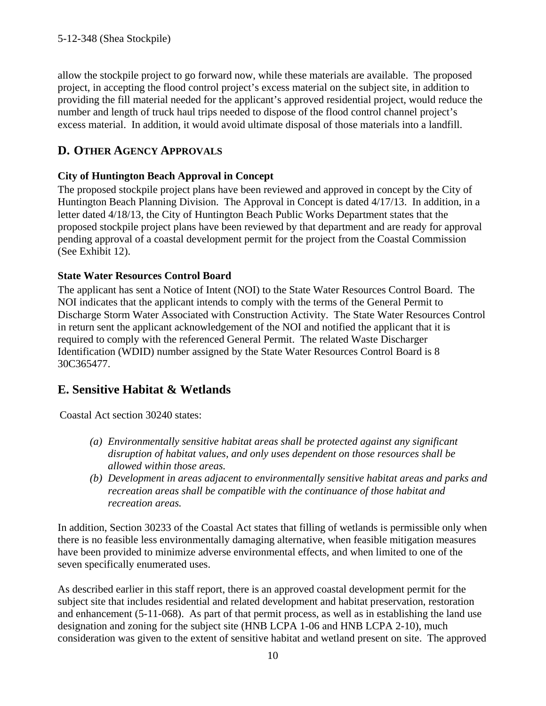allow the stockpile project to go forward now, while these materials are available. The proposed project, in accepting the flood control project's excess material on the subject site, in addition to providing the fill material needed for the applicant's approved residential project, would reduce the number and length of truck haul trips needed to dispose of the flood control channel project's excess material. In addition, it would avoid ultimate disposal of those materials into a landfill.

### <span id="page-9-0"></span>**D. OTHER AGENCY APPROVALS**

### **City of Huntington Beach Approval in Concept**

The proposed stockpile project plans have been reviewed and approved in concept by the City of Huntington Beach Planning Division. The Approval in Concept is dated 4/17/13. In addition, in a letter dated 4/18/13, the City of Huntington Beach Public Works Department states that the proposed stockpile project plans have been reviewed by that department and are ready for approval pending approval of a coastal development permit for the project from the Coastal Commission (See Exhibit 12).

### **State Water Resources Control Board**

The applicant has sent a Notice of Intent (NOI) to the State Water Resources Control Board. The NOI indicates that the applicant intends to comply with the terms of the General Permit to Discharge Storm Water Associated with Construction Activity. The State Water Resources Control in return sent the applicant acknowledgement of the NOI and notified the applicant that it is required to comply with the referenced General Permit. The related Waste Discharger Identification (WDID) number assigned by the State Water Resources Control Board is 8 30C365477.

### **E. Sensitive Habitat & Wetlands**

Coastal Act section 30240 states:

- *(a) Environmentally sensitive habitat areas shall be protected against any significant disruption of habitat values, and only uses dependent on those resources shall be allowed within those areas.*
- *(b) Development in areas adjacent to environmentally sensitive habitat areas and parks and recreation areas shall be compatible with the continuance of those habitat and recreation areas.*

In addition, Section 30233 of the Coastal Act states that filling of wetlands is permissible only when there is no feasible less environmentally damaging alternative, when feasible mitigation measures have been provided to minimize adverse environmental effects, and when limited to one of the seven specifically enumerated uses.

As described earlier in this staff report, there is an approved coastal development permit for the subject site that includes residential and related development and habitat preservation, restoration and enhancement (5-11-068). As part of that permit process, as well as in establishing the land use designation and zoning for the subject site (HNB LCPA 1-06 and HNB LCPA 2-10), much consideration was given to the extent of sensitive habitat and wetland present on site. The approved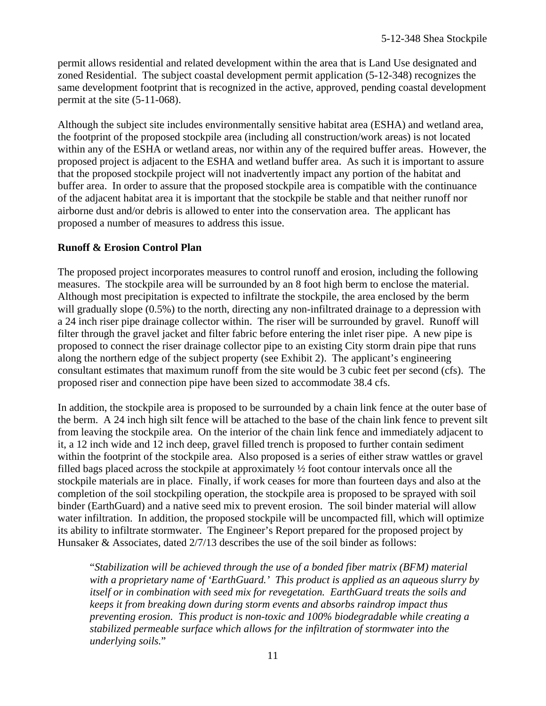permit allows residential and related development within the area that is Land Use designated and zoned Residential. The subject coastal development permit application (5-12-348) recognizes the same development footprint that is recognized in the active, approved, pending coastal development permit at the site (5-11-068).

Although the subject site includes environmentally sensitive habitat area (ESHA) and wetland area, the footprint of the proposed stockpile area (including all construction/work areas) is not located within any of the ESHA or wetland areas, nor within any of the required buffer areas. However, the proposed project is adjacent to the ESHA and wetland buffer area. As such it is important to assure that the proposed stockpile project will not inadvertently impact any portion of the habitat and buffer area. In order to assure that the proposed stockpile area is compatible with the continuance of the adjacent habitat area it is important that the stockpile be stable and that neither runoff nor airborne dust and/or debris is allowed to enter into the conservation area. The applicant has proposed a number of measures to address this issue.

### **Runoff & Erosion Control Plan**

The proposed project incorporates measures to control runoff and erosion, including the following measures. The stockpile area will be surrounded by an 8 foot high berm to enclose the material. Although most precipitation is expected to infiltrate the stockpile, the area enclosed by the berm will gradually slope  $(0.5\%)$  to the north, directing any non-infiltrated drainage to a depression with a 24 inch riser pipe drainage collector within. The riser will be surrounded by gravel. Runoff will filter through the gravel jacket and filter fabric before entering the inlet riser pipe. A new pipe is proposed to connect the riser drainage collector pipe to an existing City storm drain pipe that runs along the northern edge of the subject property (see Exhibit 2). The applicant's engineering consultant estimates that maximum runoff from the site would be 3 cubic feet per second (cfs). The proposed riser and connection pipe have been sized to accommodate 38.4 cfs.

In addition, the stockpile area is proposed to be surrounded by a chain link fence at the outer base of the berm. A 24 inch high silt fence will be attached to the base of the chain link fence to prevent silt from leaving the stockpile area. On the interior of the chain link fence and immediately adjacent to it, a 12 inch wide and 12 inch deep, gravel filled trench is proposed to further contain sediment within the footprint of the stockpile area. Also proposed is a series of either straw wattles or gravel filled bags placed across the stockpile at approximately ½ foot contour intervals once all the stockpile materials are in place. Finally, if work ceases for more than fourteen days and also at the completion of the soil stockpiling operation, the stockpile area is proposed to be sprayed with soil binder (EarthGuard) and a native seed mix to prevent erosion. The soil binder material will allow water infiltration. In addition, the proposed stockpile will be uncompacted fill, which will optimize its ability to infiltrate stormwater. The Engineer's Report prepared for the proposed project by Hunsaker & Associates, dated 2/7/13 describes the use of the soil binder as follows:

"*Stabilization will be achieved through the use of a bonded fiber matrix (BFM) material with a proprietary name of 'EarthGuard.' This product is applied as an aqueous slurry by itself or in combination with seed mix for revegetation. EarthGuard treats the soils and keeps it from breaking down during storm events and absorbs raindrop impact thus preventing erosion. This product is non-toxic and 100% biodegradable while creating a stabilized permeable surface which allows for the infiltration of stormwater into the underlying soils.*"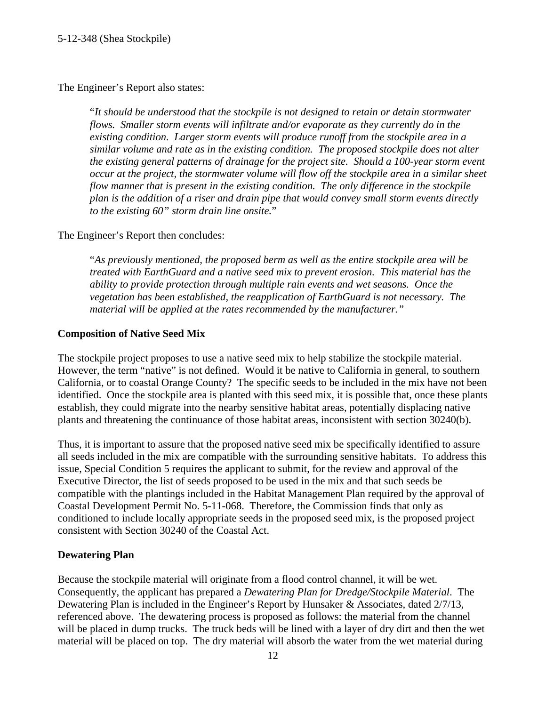The Engineer's Report also states:

"*It should be understood that the stockpile is not designed to retain or detain stormwater flows. Smaller storm events will infiltrate and/or evaporate as they currently do in the existing condition. Larger storm events will produce runoff from the stockpile area in a similar volume and rate as in the existing condition. The proposed stockpile does not alter the existing general patterns of drainage for the project site. Should a 100-year storm event occur at the project, the stormwater volume will flow off the stockpile area in a similar sheet flow manner that is present in the existing condition. The only difference in the stockpile plan is the addition of a riser and drain pipe that would convey small storm events directly to the existing 60" storm drain line onsite.*"

The Engineer's Report then concludes:

"*As previously mentioned, the proposed berm as well as the entire stockpile area will be treated with EarthGuard and a native seed mix to prevent erosion. This material has the ability to provide protection through multiple rain events and wet seasons. Once the vegetation has been established, the reapplication of EarthGuard is not necessary. The material will be applied at the rates recommended by the manufacturer."*

### **Composition of Native Seed Mix**

The stockpile project proposes to use a native seed mix to help stabilize the stockpile material. However, the term "native" is not defined. Would it be native to California in general, to southern California, or to coastal Orange County? The specific seeds to be included in the mix have not been identified. Once the stockpile area is planted with this seed mix, it is possible that, once these plants establish, they could migrate into the nearby sensitive habitat areas, potentially displacing native plants and threatening the continuance of those habitat areas, inconsistent with section 30240(b).

Thus, it is important to assure that the proposed native seed mix be specifically identified to assure all seeds included in the mix are compatible with the surrounding sensitive habitats. To address this issue, Special Condition 5 requires the applicant to submit, for the review and approval of the Executive Director, the list of seeds proposed to be used in the mix and that such seeds be compatible with the plantings included in the Habitat Management Plan required by the approval of Coastal Development Permit No. 5-11-068. Therefore, the Commission finds that only as conditioned to include locally appropriate seeds in the proposed seed mix, is the proposed project consistent with Section 30240 of the Coastal Act.

### **Dewatering Plan**

Because the stockpile material will originate from a flood control channel, it will be wet. Consequently, the applicant has prepared a *Dewatering Plan for Dredge/Stockpile Material*. The Dewatering Plan is included in the Engineer's Report by Hunsaker & Associates, dated 2/7/13, referenced above. The dewatering process is proposed as follows: the material from the channel will be placed in dump trucks. The truck beds will be lined with a layer of dry dirt and then the wet material will be placed on top. The dry material will absorb the water from the wet material during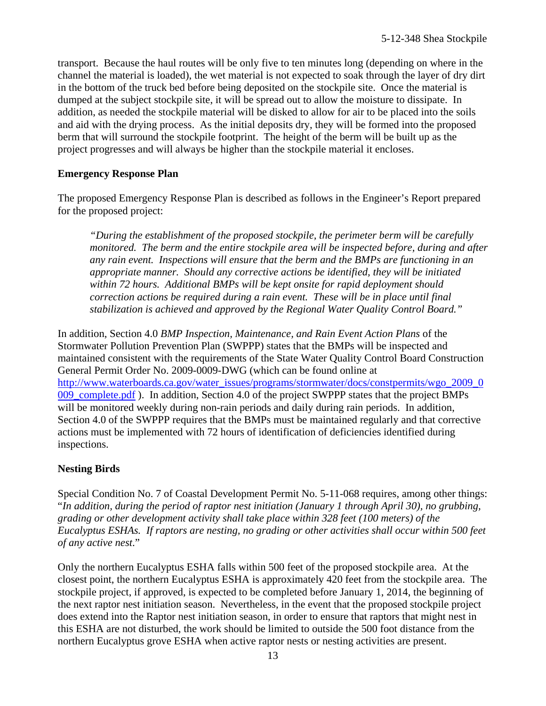transport. Because the haul routes will be only five to ten minutes long (depending on where in the channel the material is loaded), the wet material is not expected to soak through the layer of dry dirt in the bottom of the truck bed before being deposited on the stockpile site. Once the material is dumped at the subject stockpile site, it will be spread out to allow the moisture to dissipate. In addition, as needed the stockpile material will be disked to allow for air to be placed into the soils and aid with the drying process. As the initial deposits dry, they will be formed into the proposed berm that will surround the stockpile footprint. The height of the berm will be built up as the project progresses and will always be higher than the stockpile material it encloses.

### **Emergency Response Plan**

The proposed Emergency Response Plan is described as follows in the Engineer's Report prepared for the proposed project:

*"During the establishment of the proposed stockpile, the perimeter berm will be carefully monitored. The berm and the entire stockpile area will be inspected before, during and after any rain event. Inspections will ensure that the berm and the BMPs are functioning in an appropriate manner. Should any corrective actions be identified, they will be initiated within 72 hours. Additional BMPs will be kept onsite for rapid deployment should correction actions be required during a rain event. These will be in place until final stabilization is achieved and approved by the Regional Water Quality Control Board."*

In addition, Section 4.0 *BMP Inspection, Maintenance, and Rain Event Action Plans* of the Stormwater Pollution Prevention Plan (SWPPP) states that the BMPs will be inspected and maintained consistent with the requirements of the State Water Quality Control Board Construction General Permit Order No. 2009-0009-DWG (which can be found online at [http://www.waterboards.ca.gov/water\\_issues/programs/stormwater/docs/constpermits/wgo\\_2009\\_0](http://www.waterboards.ca.gov/water_issues/programs/stormwater/docs/constpermits/wgo_2009_0009_complete.pdf) 009 complete.pdf ). In addition, Section 4.0 of the project SWPPP states that the project BMPs will be monitored weekly during non-rain periods and daily during rain periods. In addition, Section 4.0 of the SWPPP requires that the BMPs must be maintained regularly and that corrective actions must be implemented with 72 hours of identification of deficiencies identified during inspections.

### **Nesting Birds**

Special Condition No. 7 of Coastal Development Permit No. 5-11-068 requires, among other things: "*In addition, during the period of raptor nest initiation (January 1 through April 30), no grubbing, grading or other development activity shall take place within 328 feet (100 meters) of the Eucalyptus ESHAs. If raptors are nesting, no grading or other activities shall occur within 500 feet of any active nest*."

Only the northern Eucalyptus ESHA falls within 500 feet of the proposed stockpile area. At the closest point, the northern Eucalyptus ESHA is approximately 420 feet from the stockpile area. The stockpile project, if approved, is expected to be completed before January 1, 2014, the beginning of the next raptor nest initiation season. Nevertheless, in the event that the proposed stockpile project does extend into the Raptor nest initiation season, in order to ensure that raptors that might nest in this ESHA are not disturbed, the work should be limited to outside the 500 foot distance from the northern Eucalyptus grove ESHA when active raptor nests or nesting activities are present.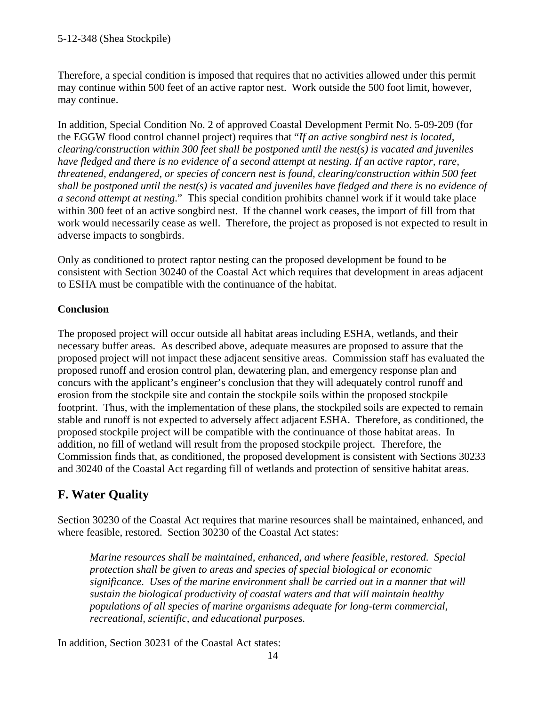Therefore, a special condition is imposed that requires that no activities allowed under this permit may continue within 500 feet of an active raptor nest. Work outside the 500 foot limit, however, may continue.

In addition, Special Condition No. 2 of approved Coastal Development Permit No. 5-09-209 (for the EGGW flood control channel project) requires that "*If an active songbird nest is located, clearing/construction within 300 feet shall be postponed until the nest(s) is vacated and juveniles have fledged and there is no evidence of a second attempt at nesting. If an active raptor, rare, threatened, endangered, or species of concern nest is found, clearing/construction within 500 feet shall be postponed until the nest(s) is vacated and juveniles have fledged and there is no evidence of a second attempt at nesting*." This special condition prohibits channel work if it would take place within 300 feet of an active songbird nest. If the channel work ceases, the import of fill from that work would necessarily cease as well. Therefore, the project as proposed is not expected to result in adverse impacts to songbirds.

Only as conditioned to protect raptor nesting can the proposed development be found to be consistent with Section 30240 of the Coastal Act which requires that development in areas adjacent to ESHA must be compatible with the continuance of the habitat.

### **Conclusion**

The proposed project will occur outside all habitat areas including ESHA, wetlands, and their necessary buffer areas. As described above, adequate measures are proposed to assure that the proposed project will not impact these adjacent sensitive areas. Commission staff has evaluated the proposed runoff and erosion control plan, dewatering plan, and emergency response plan and concurs with the applicant's engineer's conclusion that they will adequately control runoff and erosion from the stockpile site and contain the stockpile soils within the proposed stockpile footprint. Thus, with the implementation of these plans, the stockpiled soils are expected to remain stable and runoff is not expected to adversely affect adjacent ESHA. Therefore, as conditioned, the proposed stockpile project will be compatible with the continuance of those habitat areas. In addition, no fill of wetland will result from the proposed stockpile project. Therefore, the Commission finds that, as conditioned, the proposed development is consistent with Sections 30233 and 30240 of the Coastal Act regarding fill of wetlands and protection of sensitive habitat areas.

### **F. Water Quality**

Section 30230 of the Coastal Act requires that marine resources shall be maintained, enhanced, and where feasible, restored. Section 30230 of the Coastal Act states:

*Marine resources shall be maintained, enhanced, and where feasible, restored. Special protection shall be given to areas and species of special biological or economic significance. Uses of the marine environment shall be carried out in a manner that will sustain the biological productivity of coastal waters and that will maintain healthy populations of all species of marine organisms adequate for long-term commercial, recreational, scientific, and educational purposes.*

In addition, Section 30231 of the Coastal Act states: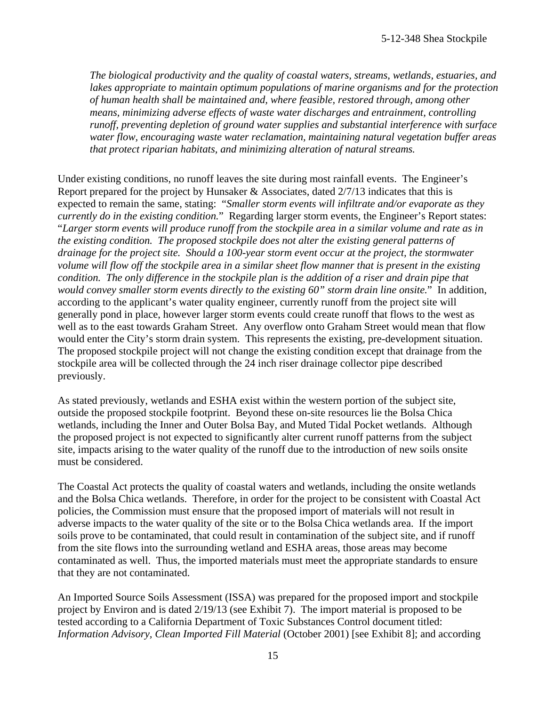*The biological productivity and the quality of coastal waters, streams, wetlands, estuaries, and lakes appropriate to maintain optimum populations of marine organisms and for the protection of human health shall be maintained and, where feasible, restored through, among other means, minimizing adverse effects of waste water discharges and entrainment, controlling runoff, preventing depletion of ground water supplies and substantial interference with surface water flow, encouraging waste water reclamation, maintaining natural vegetation buffer areas that protect riparian habitats, and minimizing alteration of natural streams.*

Under existing conditions, no runoff leaves the site during most rainfall events. The Engineer's Report prepared for the project by Hunsaker & Associates, dated 2/7/13 indicates that this is expected to remain the same, stating: "*Smaller storm events will infiltrate and/or evaporate as they currently do in the existing condition.*" Regarding larger storm events, the Engineer's Report states: "*Larger storm events will produce runoff from the stockpile area in a similar volume and rate as in the existing condition. The proposed stockpile does not alter the existing general patterns of drainage for the project site. Should a 100-year storm event occur at the project, the stormwater volume will flow off the stockpile area in a similar sheet flow manner that is present in the existing condition. The only difference in the stockpile plan is the addition of a riser and drain pipe that would convey smaller storm events directly to the existing 60" storm drain line onsite.*" In addition, according to the applicant's water quality engineer, currently runoff from the project site will generally pond in place, however larger storm events could create runoff that flows to the west as well as to the east towards Graham Street. Any overflow onto Graham Street would mean that flow would enter the City's storm drain system. This represents the existing, pre-development situation. The proposed stockpile project will not change the existing condition except that drainage from the stockpile area will be collected through the 24 inch riser drainage collector pipe described previously.

As stated previously, wetlands and ESHA exist within the western portion of the subject site, outside the proposed stockpile footprint. Beyond these on-site resources lie the Bolsa Chica wetlands, including the Inner and Outer Bolsa Bay, and Muted Tidal Pocket wetlands. Although the proposed project is not expected to significantly alter current runoff patterns from the subject site, impacts arising to the water quality of the runoff due to the introduction of new soils onsite must be considered.

The Coastal Act protects the quality of coastal waters and wetlands, including the onsite wetlands and the Bolsa Chica wetlands. Therefore, in order for the project to be consistent with Coastal Act policies, the Commission must ensure that the proposed import of materials will not result in adverse impacts to the water quality of the site or to the Bolsa Chica wetlands area. If the import soils prove to be contaminated, that could result in contamination of the subject site, and if runoff from the site flows into the surrounding wetland and ESHA areas, those areas may become contaminated as well. Thus, the imported materials must meet the appropriate standards to ensure that they are not contaminated.

An Imported Source Soils Assessment (ISSA) was prepared for the proposed import and stockpile project by Environ and is dated 2/19/13 (see Exhibit 7). The import material is proposed to be tested according to a California Department of Toxic Substances Control document titled: *Information Advisory, Clean Imported Fill Material* (October 2001) [see Exhibit 8]; and according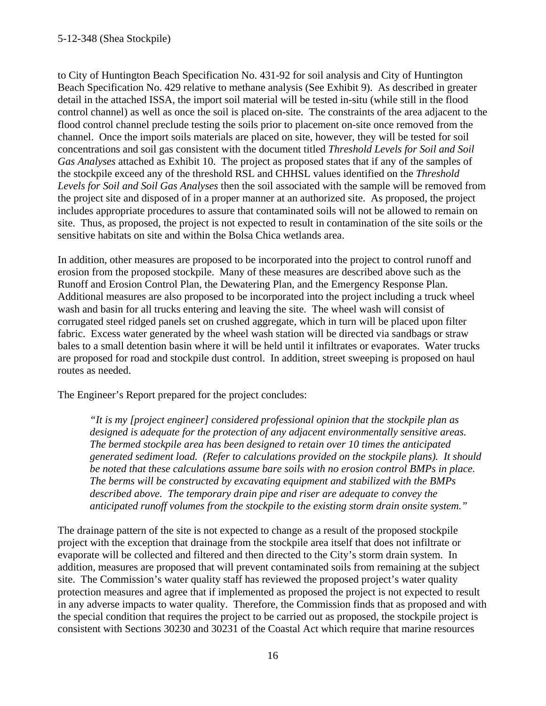to City of Huntington Beach Specification No. 431-92 for soil analysis and City of Huntington Beach Specification No. 429 relative to methane analysis (See Exhibit 9). As described in greater detail in the attached ISSA, the import soil material will be tested in-situ (while still in the flood control channel) as well as once the soil is placed on-site. The constraints of the area adjacent to the flood control channel preclude testing the soils prior to placement on-site once removed from the channel. Once the import soils materials are placed on site, however, they will be tested for soil concentrations and soil gas consistent with the document titled *Threshold Levels for Soil and Soil Gas Analyses* attached as Exhibit 10. The project as proposed states that if any of the samples of the stockpile exceed any of the threshold RSL and CHHSL values identified on the *Threshold Levels for Soil and Soil Gas Analyses* then the soil associated with the sample will be removed from the project site and disposed of in a proper manner at an authorized site. As proposed, the project includes appropriate procedures to assure that contaminated soils will not be allowed to remain on site. Thus, as proposed, the project is not expected to result in contamination of the site soils or the sensitive habitats on site and within the Bolsa Chica wetlands area.

In addition, other measures are proposed to be incorporated into the project to control runoff and erosion from the proposed stockpile. Many of these measures are described above such as the Runoff and Erosion Control Plan, the Dewatering Plan, and the Emergency Response Plan. Additional measures are also proposed to be incorporated into the project including a truck wheel wash and basin for all trucks entering and leaving the site. The wheel wash will consist of corrugated steel ridged panels set on crushed aggregate, which in turn will be placed upon filter fabric. Excess water generated by the wheel wash station will be directed via sandbags or straw bales to a small detention basin where it will be held until it infiltrates or evaporates. Water trucks are proposed for road and stockpile dust control. In addition, street sweeping is proposed on haul routes as needed.

The Engineer's Report prepared for the project concludes:

*"It is my [project engineer] considered professional opinion that the stockpile plan as designed is adequate for the protection of any adjacent environmentally sensitive areas. The bermed stockpile area has been designed to retain over 10 times the anticipated generated sediment load. (Refer to calculations provided on the stockpile plans). It should be noted that these calculations assume bare soils with no erosion control BMPs in place. The berms will be constructed by excavating equipment and stabilized with the BMPs described above. The temporary drain pipe and riser are adequate to convey the anticipated runoff volumes from the stockpile to the existing storm drain onsite system."*

The drainage pattern of the site is not expected to change as a result of the proposed stockpile project with the exception that drainage from the stockpile area itself that does not infiltrate or evaporate will be collected and filtered and then directed to the City's storm drain system. In addition, measures are proposed that will prevent contaminated soils from remaining at the subject site. The Commission's water quality staff has reviewed the proposed project's water quality protection measures and agree that if implemented as proposed the project is not expected to result in any adverse impacts to water quality. Therefore, the Commission finds that as proposed and with the special condition that requires the project to be carried out as proposed, the stockpile project is consistent with Sections 30230 and 30231 of the Coastal Act which require that marine resources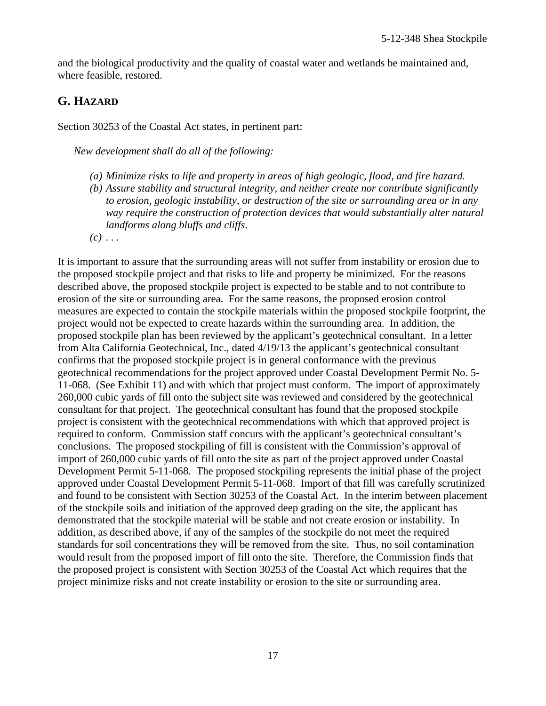and the biological productivity and the quality of coastal water and wetlands be maintained and, where feasible, restored.

### **G. HAZARD**

Section 30253 of the Coastal Act states, in pertinent part:

*New development shall do all of the following:*

- *(a) Minimize risks to life and property in areas of high geologic, flood, and fire hazard.*
- *(b) Assure stability and structural integrity, and neither create nor contribute significantly to erosion, geologic instability, or destruction of the site or surrounding area or in any way require the construction of protection devices that would substantially alter natural landforms along bluffs and cliffs*.
- $(c)$   $\dots$

It is important to assure that the surrounding areas will not suffer from instability or erosion due to the proposed stockpile project and that risks to life and property be minimized. For the reasons described above, the proposed stockpile project is expected to be stable and to not contribute to erosion of the site or surrounding area. For the same reasons, the proposed erosion control measures are expected to contain the stockpile materials within the proposed stockpile footprint, the project would not be expected to create hazards within the surrounding area. In addition, the proposed stockpile plan has been reviewed by the applicant's geotechnical consultant. In a letter from Alta California Geotechnical, Inc., dated 4/19/13 the applicant's geotechnical consultant confirms that the proposed stockpile project is in general conformance with the previous geotechnical recommendations for the project approved under Coastal Development Permit No. 5- 11-068. (See Exhibit 11) and with which that project must conform. The import of approximately 260,000 cubic yards of fill onto the subject site was reviewed and considered by the geotechnical consultant for that project. The geotechnical consultant has found that the proposed stockpile project is consistent with the geotechnical recommendations with which that approved project is required to conform. Commission staff concurs with the applicant's geotechnical consultant's conclusions. The proposed stockpiling of fill is consistent with the Commission's approval of import of 260,000 cubic yards of fill onto the site as part of the project approved under Coastal Development Permit 5-11-068. The proposed stockpiling represents the initial phase of the project approved under Coastal Development Permit 5-11-068. Import of that fill was carefully scrutinized and found to be consistent with Section 30253 of the Coastal Act. In the interim between placement of the stockpile soils and initiation of the approved deep grading on the site, the applicant has demonstrated that the stockpile material will be stable and not create erosion or instability. In addition, as described above, if any of the samples of the stockpile do not meet the required standards for soil concentrations they will be removed from the site. Thus, no soil contamination would result from the proposed import of fill onto the site. Therefore, the Commission finds that the proposed project is consistent with Section 30253 of the Coastal Act which requires that the project minimize risks and not create instability or erosion to the site or surrounding area.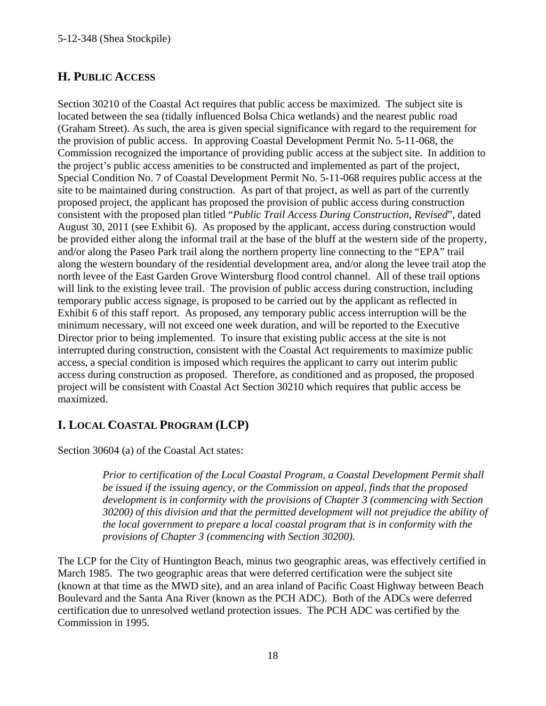### **H. PUBLIC ACCESS**

Section 30210 of the Coastal Act requires that public access be maximized. The subject site is located between the sea (tidally influenced Bolsa Chica wetlands) and the nearest public road (Graham Street). As such, the area is given special significance with regard to the requirement for the provision of public access. In approving Coastal Development Permit No. 5-11-068, the Commission recognized the importance of providing public access at the subject site. In addition to the project's public access amenities to be constructed and implemented as part of the project, Special Condition No. 7 of Coastal Development Permit No. 5-11-068 requires public access at the site to be maintained during construction. As part of that project, as well as part of the currently proposed project, the applicant has proposed the provision of public access during construction consistent with the proposed plan titled "*Public Trail Access During Construction, Revised*", dated August 30, 2011 (see Exhibit 6). As proposed by the applicant, access during construction would be provided either along the informal trail at the base of the bluff at the western side of the property, and/or along the Paseo Park trail along the northern property line connecting to the "EPA" trail along the western boundary of the residential development area, and/or along the levee trail atop the north levee of the East Garden Grove Wintersburg flood control channel. All of these trail options will link to the existing levee trail. The provision of public access during construction, including temporary public access signage, is proposed to be carried out by the applicant as reflected in Exhibit 6 of this staff report. As proposed, any temporary public access interruption will be the minimum necessary, will not exceed one week duration, and will be reported to the Executive Director prior to being implemented. To insure that existing public access at the site is not interrupted during construction, consistent with the Coastal Act requirements to maximize public access, a special condition is imposed which requires the applicant to carry out interim public access during construction as proposed. Therefore, as conditioned and as proposed, the proposed project will be consistent with Coastal Act Section 30210 which requires that public access be maximized.

### **I. LOCAL COASTAL PROGRAM (LCP)**

Section 30604 (a) of the Coastal Act states:

*Prior to certification of the Local Coastal Program, a Coastal Development Permit shall be issued if the issuing agency, or the Commission on appeal, finds that the proposed development is in conformity with the provisions of Chapter 3 (commencing with Section 30200) of this division and that the permitted development will not prejudice the ability of the local government to prepare a local coastal program that is in conformity with the provisions of Chapter 3 (commencing with Section 30200).*

The LCP for the City of Huntington Beach, minus two geographic areas, was effectively certified in March 1985. The two geographic areas that were deferred certification were the subject site (known at that time as the MWD site), and an area inland of Pacific Coast Highway between Beach Boulevard and the Santa Ana River (known as the PCH ADC). Both of the ADCs were deferred certification due to unresolved wetland protection issues. The PCH ADC was certified by the Commission in 1995.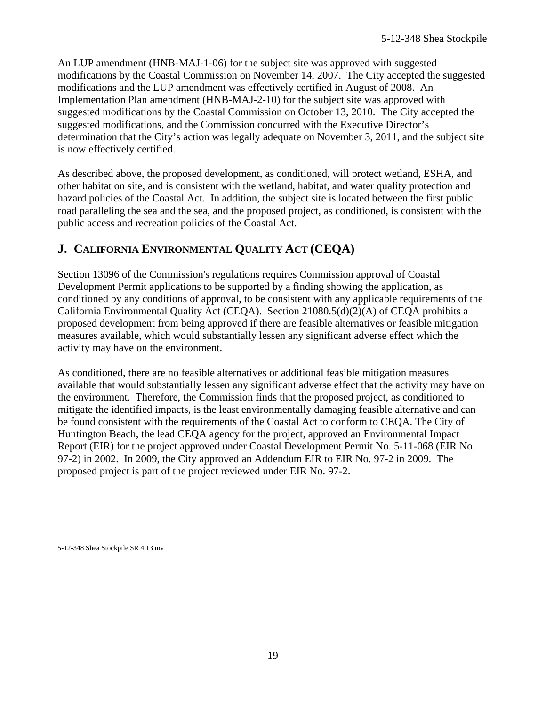An LUP amendment (HNB-MAJ-1-06) for the subject site was approved with suggested modifications by the Coastal Commission on November 14, 2007. The City accepted the suggested modifications and the LUP amendment was effectively certified in August of 2008. An Implementation Plan amendment (HNB-MAJ-2-10) for the subject site was approved with suggested modifications by the Coastal Commission on October 13, 2010. The City accepted the suggested modifications, and the Commission concurred with the Executive Director's determination that the City's action was legally adequate on November 3, 2011, and the subject site is now effectively certified.

As described above, the proposed development, as conditioned, will protect wetland, ESHA, and other habitat on site, and is consistent with the wetland, habitat, and water quality protection and hazard policies of the Coastal Act. In addition, the subject site is located between the first public road paralleling the sea and the sea, and the proposed project, as conditioned, is consistent with the public access and recreation policies of the Coastal Act.

### <span id="page-18-0"></span>**J. CALIFORNIA ENVIRONMENTAL QUALITY ACT (CEQA)**

Section 13096 of the Commission's regulations requires Commission approval of Coastal Development Permit applications to be supported by a finding showing the application, as conditioned by any conditions of approval, to be consistent with any applicable requirements of the California Environmental Quality Act (CEQA). Section 21080.5(d)(2)(A) of CEQA prohibits a proposed development from being approved if there are feasible alternatives or feasible mitigation measures available, which would substantially lessen any significant adverse effect which the activity may have on the environment.

As conditioned, there are no feasible alternatives or additional feasible mitigation measures available that would substantially lessen any significant adverse effect that the activity may have on the environment. Therefore, the Commission finds that the proposed project, as conditioned to mitigate the identified impacts, is the least environmentally damaging feasible alternative and can be found consistent with the requirements of the Coastal Act to conform to CEQA. The City of Huntington Beach, the lead CEQA agency for the project, approved an Environmental Impact Report (EIR) for the project approved under Coastal Development Permit No. 5-11-068 (EIR No. 97-2) in 2002. In 2009, the City approved an Addendum EIR to EIR No. 97-2 in 2009. The proposed project is part of the project reviewed under EIR No. 97-2.

5-12-348 Shea Stockpile SR 4.13 mv